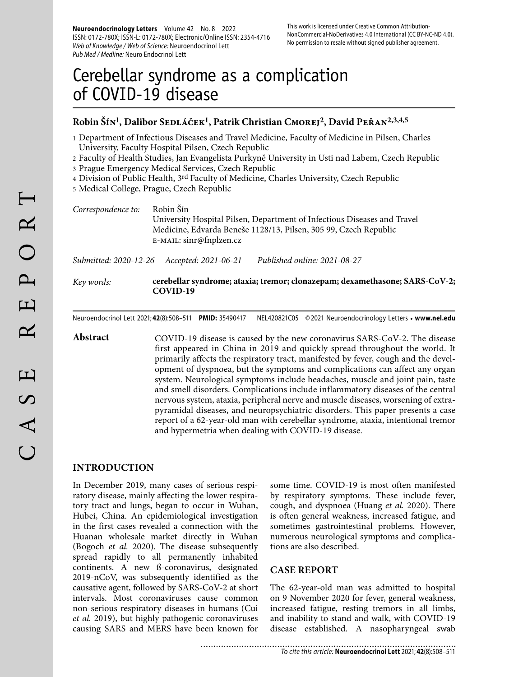# Cerebellar syndrome as a complication of COVID-19 disease

#### Robin Šín<sup>1</sup>, Dalibor Sedláček<sup>1</sup>, Patrik Christian CMOREJ<sup>2</sup>, David Peřan<sup>2,3,4,5</sup>

1 Department of Infectious Diseases and Travel Medicine, Faculty of Medicine in Pilsen, Charles University, Faculty Hospital Pilsen, Czech Republic

- 2 Faculty of Health Studies, Jan Evangelista Purkyně University in Usti nad Labem, Czech Republic
- 3 Prague Emergency Medical Services, Czech Republic
- 4 Division of Public Health, 3rd Faculty of Medicine, Charles University, Czech Republic
- 5 Medical College, Prague, Czech Republic

*Correspondence to:* Robin Šín University Hospital Pilsen, Department of Infectious Diseases and Travel Medicine, Edvarda Beneše 1128/13, Pilsen, 305 99, Czech Republic e-mail: sinr@fnplzen.cz

*Submitted: 2020-12-26 Accepted: 2021-06-21 Published online: 2021-08-27*

*Key words:* **cerebellar syndrome; ataxia; tremor; clonazepam; dexamethasone; SARS-CoV-2; COVID-19** 

Neuroendocrinol Lett 2021; **42**(8):508–511 **PMID:** 35490417 NEL420821C05 © 2021 Neuroendocrinology Letters • **www.nel.edu**

**Abstract** COVID-19 disease is caused by the new coronavirus SARS-CoV-2. The disease first appeared in China in 2019 and quickly spread throughout the world. It primarily affects the respiratory tract, manifested by fever, cough and the development of dyspnoea, but the symptoms and complications can affect any organ system. Neurological symptoms include headaches, muscle and joint pain, taste and smell disorders. Complications include inflammatory diseases of the central nervous system, ataxia, peripheral nerve and muscle diseases, worsening of extrapyramidal diseases, and neuropsychiatric disorders. This paper presents a case report of a 62-year-old man with cerebellar syndrome, ataxia, intentional tremor and hypermetria when dealing with COVID-19 disease.

## **INTRODUCTION**

In December 2019, many cases of serious respiratory disease, mainly affecting the lower respiratory tract and lungs, began to occur in Wuhan, Hubei, China. An epidemiological investigation in the first cases revealed a connection with the Huanan wholesale market directly in Wuhan (Bogoch *et al.* 2020). The disease subsequently spread rapidly to all permanently inhabited continents. A new ß-coronavirus, designated 2019-nCoV, was subsequently identified as the causative agent, followed by SARS-CoV-2 at short intervals. Most coronaviruses cause common non-serious respiratory diseases in humans (Cui *et al.* 2019), but highly pathogenic coronaviruses causing SARS and MERS have been known for

some time. COVID-19 is most often manifested by respiratory symptoms. These include fever, cough, and dyspnoea (Huang *et al.* 2020). There is often general weakness, increased fatigue, and sometimes gastrointestinal problems. However, numerous neurological symptoms and complications are also described.

### **CASE REPORT**

The 62-year-old man was admitted to hospital on 9 November 2020 for fever, general weakness, increased fatigue, resting tremors in all limbs, and inability to stand and walk, with COVID-19 disease established. A nasopharyngeal swab

........................... To cite this article: **Neuroendocrinol Lett** 2021; **42**(8):508–511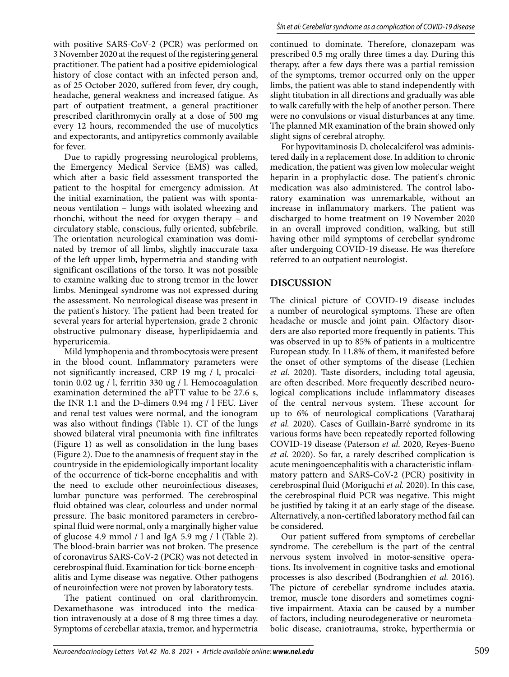with positive SARS-CoV-2 (PCR) was performed on 3 November 2020 at the request of the registering general practitioner. The patient had a positive epidemiological history of close contact with an infected person and, as of 25 October 2020, suffered from fever, dry cough, headache, general weakness and increased fatigue. As part of outpatient treatment, a general practitioner prescribed clarithromycin orally at a dose of 500 mg every 12 hours, recommended the use of mucolytics and expectorants, and antipyretics commonly available for fever.

Due to rapidly progressing neurological problems, the Emergency Medical Service (EMS) was called, which after a basic field assessment transported the patient to the hospital for emergency admission. At the initial examination, the patient was with spontaneous ventilation – lungs with isolated wheezing and rhonchi, without the need for oxygen therapy – and circulatory stable, conscious, fully oriented, subfebrile. The orientation neurological examination was dominated by tremor of all limbs, slightly inaccurate taxa of the left upper limb, hypermetria and standing with significant oscillations of the torso. It was not possible to examine walking due to strong tremor in the lower limbs. Meningeal syndrome was not expressed during the assessment. No neurological disease was present in the patient's history. The patient had been treated for several years for arterial hypertension, grade 2 chronic obstructive pulmonary disease, hyperlipidaemia and hyperuricemia.

Mild lymphopenia and thrombocytosis were present in the blood count. Inflammatory parameters were not significantly increased, CRP 19 mg / l, procalcitonin 0.02 ug / l, ferritin 330 ug / l. Hemocoagulation examination determined the aPTT value to be 27.6 s, the INR 1.1 and the D-dimers 0.94 mg / l FEU. Liver and renal test values were normal, and the ionogram was also without findings (Table 1). CT of the lungs showed bilateral viral pneumonia with fine infiltrates (Figure 1) as well as consolidation in the lung bases (Figure 2). Due to the anamnesis of frequent stay in the countryside in the epidemiologically important locality of the occurrence of tick-borne encephalitis and with the need to exclude other neuroinfectious diseases, lumbar puncture was performed. The cerebrospinal fluid obtained was clear, colourless and under normal pressure. The basic monitored parameters in cerebrospinal fluid were normal, only a marginally higher value of glucose 4.9 mmol / l and IgA 5.9 mg / l (Table 2). The blood-brain barrier was not broken. The presence of coronavirus SARS-CoV-2 (PCR) was not detected in cerebrospinal fluid. Examination for tick-borne encephalitis and Lyme disease was negative. Other pathogens of neuroinfection were not proven by laboratory tests.

The patient continued on oral clarithromycin. Dexamethasone was introduced into the medication intravenously at a dose of 8 mg three times a day. Symptoms of cerebellar ataxia, tremor, and hypermetria

continued to dominate. Therefore, clonazepam was prescribed 0.5 mg orally three times a day. During this therapy, after a few days there was a partial remission of the symptoms, tremor occurred only on the upper limbs, the patient was able to stand independently with slight titubation in all directions and gradually was able to walk carefully with the help of another person. There were no convulsions or visual disturbances at any time. The planned MR examination of the brain showed only slight signs of cerebral atrophy.

For hypovitaminosis D, cholecalciferol was administered daily in a replacement dose. In addition to chronic medication, the patient was given low molecular weight heparin in a prophylactic dose. The patient's chronic medication was also administered. The control laboratory examination was unremarkable, without an increase in inflammatory markers. The patient was discharged to home treatment on 19 November 2020 in an overall improved condition, walking, but still having other mild symptoms of cerebellar syndrome after undergoing COVID-19 disease. He was therefore referred to an outpatient neurologist.

### **DISCUSSION**

The clinical picture of COVID-19 disease includes a number of neurological symptoms. These are often headache or muscle and joint pain. Olfactory disorders are also reported more frequently in patients. This was observed in up to 85% of patients in a multicentre European study. In 11.8% of them, it manifested before the onset of other symptoms of the disease (Lechien *et al.* 2020). Taste disorders, including total ageusia, are often described. More frequently described neurological complications include inflammatory diseases of the central nervous system. These account for up to 6% of neurological complications (Varatharaj *et al.* 2020). Cases of Guillain-Barré syndrome in its various forms have been repeatedly reported following COVID-19 disease (Paterson *et al.* 2020, Reyes-Bueno *et al.* 2020). So far, a rarely described complication is acute meningoencephalitis with a characteristic inflammatory pattern and SARS-CoV-2 (PCR) positivity in cerebrospinal fluid (Moriguchi *et al.* 2020). In this case, the cerebrospinal fluid PCR was negative. This might be justified by taking it at an early stage of the disease. Alternatively, a non-certified laboratory method fail can be considered.

Our patient suffered from symptoms of cerebellar syndrome. The cerebellum is the part of the central nervous system involved in motor-sensitive operations. Its involvement in cognitive tasks and emotional processes is also described (Bodranghien *et al.* 2016). The picture of cerebellar syndrome includes ataxia, tremor, muscle tone disorders and sometimes cognitive impairment. Ataxia can be caused by a number of factors, including neurodegenerative or neurometabolic disease, craniotrauma, stroke, hyperthermia or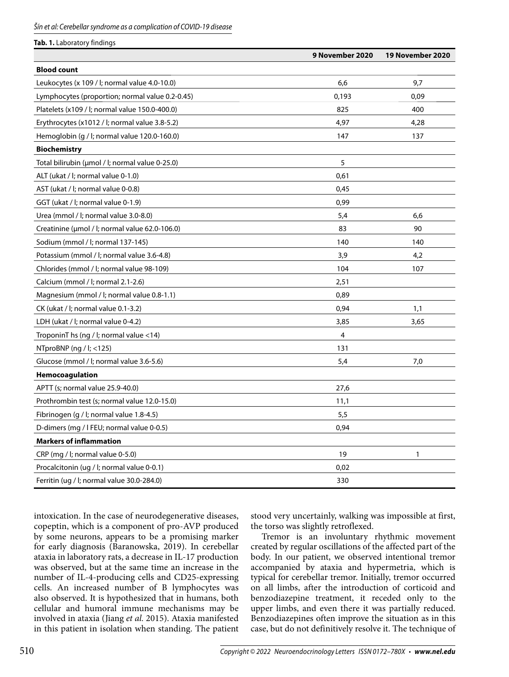**Tab. 1.** Laboratory findings

|                                                 | 9 November 2020 | 19 November 2020 |
|-------------------------------------------------|-----------------|------------------|
| <b>Blood count</b>                              |                 |                  |
| Leukocytes (x 109 / l; normal value 4.0-10.0)   | 6,6             | 9,7              |
| Lymphocytes (proportion; normal value 0.2-0.45) | 0,193           | 0.09             |
| Platelets (x109 / l; normal value 150.0-400.0)  | 825             | 400              |
| Erythrocytes (x1012 / l; normal value 3.8-5.2)  | 4,97            | 4,28             |
| Hemoglobin (g / l; normal value 120.0-160.0)    | 147             | 137              |
| <b>Biochemistry</b>                             |                 |                  |
| Total bilirubin (umol / l; normal value 0-25.0) | 5               |                  |
| ALT (ukat / l; normal value 0-1.0)              | 0,61            |                  |
| AST (ukat / l; normal value 0-0.8)              | 0,45            |                  |
| GGT (ukat / l; normal value 0-1.9)              | 0,99            |                  |
| Urea (mmol / I; normal value 3.0-8.0)           | 5,4             | 6,6              |
| Creatinine (umol / I; normal value 62.0-106.0)  | 83              | 90               |
| Sodium (mmol / I; normal 137-145)               | 140             | 140              |
| Potassium (mmol / I; normal value 3.6-4.8)      | 3,9             | 4,2              |
| Chlorides (mmol / I; normal value 98-109)       | 104             | 107              |
| Calcium (mmol / l; normal 2.1-2.6)              | 2,51            |                  |
| Magnesium (mmol / l; normal value 0.8-1.1)      | 0,89            |                  |
| CK (ukat / l; normal value 0.1-3.2)             | 0,94            | 1,1              |
| LDH (ukat / l; normal value 0-4.2)              | 3,85            | 3,65             |
| TroponinT hs (ng / l; normal value <14)         | 4               |                  |
| NTproBNP ( $nq / l$ ; <125)                     | 131             |                  |
| Glucose (mmol / l; normal value 3.6-5.6)        | 5,4             | 7,0              |
| Hemocoagulation                                 |                 |                  |
| APTT (s; normal value 25.9-40.0)                | 27,6            |                  |
| Prothrombin test (s; normal value 12.0-15.0)    | 11,1            |                  |
| Fibrinogen (g / l; normal value 1.8-4.5)        | 5,5             |                  |
| D-dimers (mg / I FEU; normal value 0-0.5)       | 0,94            |                  |
| <b>Markers of inflammation</b>                  |                 |                  |
| CRP (mg / l; normal value 0-5.0)                | 19              | 1                |
| Procalcitonin (ug / l; normal value 0-0.1)      | 0,02            |                  |
| Ferritin (ug / l; normal value 30.0-284.0)      | 330             |                  |

intoxication. In the case of neurodegenerative diseases, copeptin, which is a component of pro-AVP produced by some neurons, appears to be a promising marker for early diagnosis (Baranowska, 2019). In cerebellar ataxia in laboratory rats, a decrease in IL-17 production was observed, but at the same time an increase in the number of IL-4-producing cells and CD25-expressing cells. An increased number of B lymphocytes was also observed. It is hypothesized that in humans, both cellular and humoral immune mechanisms may be involved in ataxia (Jiang *et al.* 2015). Ataxia manifested in this patient in isolation when standing. The patient stood very uncertainly, walking was impossible at first, the torso was slightly retroflexed.

Tremor is an involuntary rhythmic movement created by regular oscillations of the affected part of the body. In our patient, we observed intentional tremor accompanied by ataxia and hypermetria, which is typical for cerebellar tremor. Initially, tremor occurred on all limbs, after the introduction of corticoid and benzodiazepine treatment, it receded only to the upper limbs, and even there it was partially reduced. Benzodiazepines often improve the situation as in this case, but do not definitively resolve it. The technique of